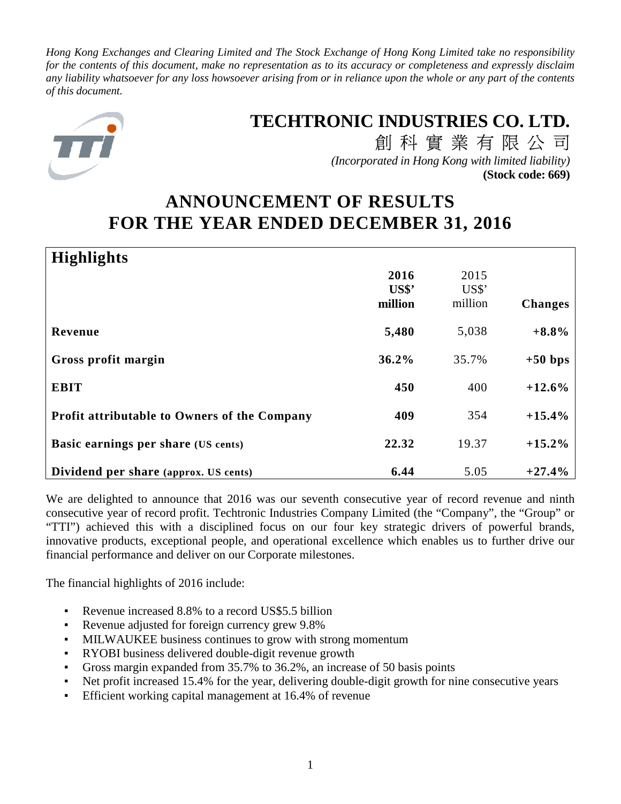*Hong Kong Exchanges and Clearing Limited and The Stock Exchange of Hong Kong Limited take no responsibility for the contents of this document, make no representation as to its accuracy or completeness and expressly disclaim any liability whatsoever for any loss howsoever arising from or in reliance upon the whole or any part of the contents of this document.* 



# **TECHTRONIC INDUSTRIES CO. LTD.**

創科實業有限公司 *(Incorporated in Hong Kong with limited liability)* **(Stock code: 669)**

# **ANNOUNCEMENT OF RESULTS FOR THE YEAR ENDED DECEMBER 31, 2016**

| <b>Highlights</b>                                   |                  |               |                |
|-----------------------------------------------------|------------------|---------------|----------------|
|                                                     | 2016             | 2015<br>US\$' |                |
|                                                     | US\$'<br>million | million       | <b>Changes</b> |
| Revenue                                             | 5,480            | 5,038         | $+8.8%$        |
| Gross profit margin                                 | 36.2%            | 35.7%         | $+50$ bps      |
| <b>EBIT</b>                                         | 450              | 400           | $+12.6%$       |
| <b>Profit attributable to Owners of the Company</b> | 409              | 354           | $+15.4%$       |
| Basic earnings per share (US cents)                 | 22.32            | 19.37         | $+15.2%$       |
| Dividend per share (approx. US cents)               | 6.44             | 5.05          | $+27.4%$       |

We are delighted to announce that 2016 was our seventh consecutive year of record revenue and ninth consecutive year of record profit. Techtronic Industries Company Limited (the "Company", the "Group" or "TTI") achieved this with a disciplined focus on our four key strategic drivers of powerful brands, innovative products, exceptional people, and operational excellence which enables us to further drive our financial performance and deliver on our Corporate milestones.

The financial highlights of 2016 include:

- Revenue increased 8.8% to a record US\$5.5 billion
- Revenue adjusted for foreign currency grew 9.8%
- MILWAUKEE business continues to grow with strong momentum
- RYOBI business delivered double-digit revenue growth
- Gross margin expanded from 35.7% to 36.2%, an increase of 50 basis points
- Net profit increased 15.4% for the year, delivering double-digit growth for nine consecutive years
- Efficient working capital management at 16.4% of revenue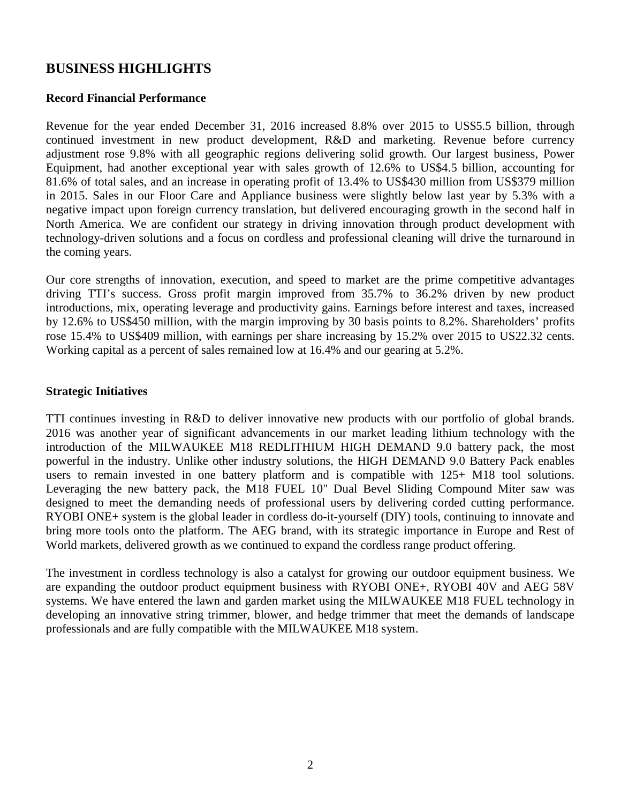# **BUSINESS HIGHLIGHTS**

### **Record Financial Performance**

Revenue for the year ended December 31, 2016 increased 8.8% over 2015 to US\$5.5 billion, through continued investment in new product development, R&D and marketing. Revenue before currency adjustment rose 9.8% with all geographic regions delivering solid growth. Our largest business, Power Equipment, had another exceptional year with sales growth of 12.6% to US\$4.5 billion, accounting for 81.6% of total sales, and an increase in operating profit of 13.4% to US\$430 million from US\$379 million in 2015. Sales in our Floor Care and Appliance business were slightly below last year by 5.3% with a negative impact upon foreign currency translation, but delivered encouraging growth in the second half in North America. We are confident our strategy in driving innovation through product development with technology-driven solutions and a focus on cordless and professional cleaning will drive the turnaround in the coming years.

Our core strengths of innovation, execution, and speed to market are the prime competitive advantages driving TTI's success. Gross profit margin improved from 35.7% to 36.2% driven by new product introductions, mix, operating leverage and productivity gains. Earnings before interest and taxes, increased by 12.6% to US\$450 million, with the margin improving by 30 basis points to 8.2%. Shareholders' profits rose 15.4% to US\$409 million, with earnings per share increasing by 15.2% over 2015 to US22.32 cents. Working capital as a percent of sales remained low at 16.4% and our gearing at 5.2%.

### **Strategic Initiatives**

TTI continues investing in R&D to deliver innovative new products with our portfolio of global brands. 2016 was another year of significant advancements in our market leading lithium technology with the introduction of the MILWAUKEE M18 REDLITHIUM HIGH DEMAND 9.0 battery pack, the most powerful in the industry. Unlike other industry solutions, the HIGH DEMAND 9.0 Battery Pack enables users to remain invested in one battery platform and is compatible with 125+ M18 tool solutions. Leveraging the new battery pack, the M18 FUEL 10" Dual Bevel Sliding Compound Miter saw was designed to meet the demanding needs of professional users by delivering corded cutting performance. RYOBI ONE+ system is the global leader in cordless do-it-yourself (DIY) tools, continuing to innovate and bring more tools onto the platform. The AEG brand, with its strategic importance in Europe and Rest of World markets, delivered growth as we continued to expand the cordless range product offering.

The investment in cordless technology is also a catalyst for growing our outdoor equipment business. We are expanding the outdoor product equipment business with RYOBI ONE+, RYOBI 40V and AEG 58V systems. We have entered the lawn and garden market using the MILWAUKEE M18 FUEL technology in developing an innovative string trimmer, blower, and hedge trimmer that meet the demands of landscape professionals and are fully compatible with the MILWAUKEE M18 system.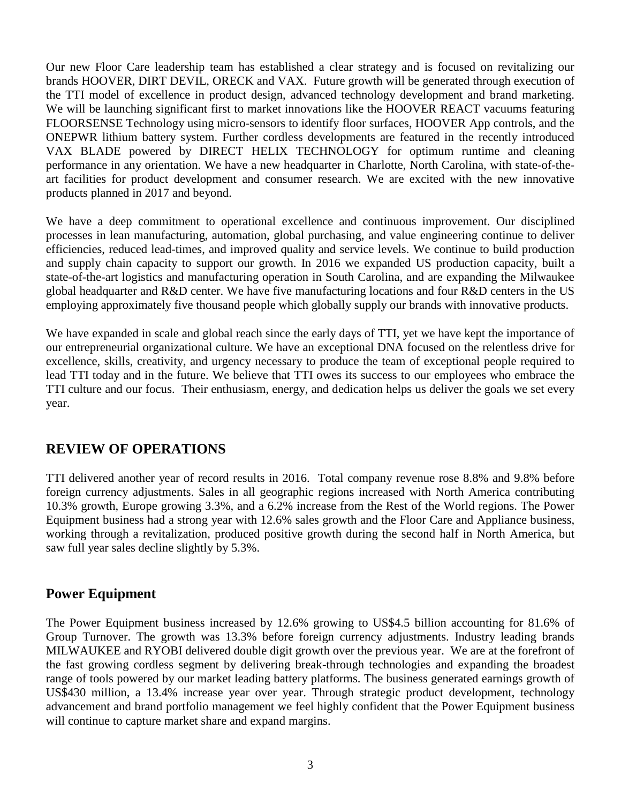Our new Floor Care leadership team has established a clear strategy and is focused on revitalizing our brands HOOVER, DIRT DEVIL, ORECK and VAX. Future growth will be generated through execution of the TTI model of excellence in product design, advanced technology development and brand marketing. We will be launching significant first to market innovations like the HOOVER REACT vacuums featuring FLOORSENSE Technology using micro-sensors to identify floor surfaces, HOOVER App controls, and the ONEPWR lithium battery system. Further cordless developments are featured in the recently introduced VAX BLADE powered by DIRECT HELIX TECHNOLOGY for optimum runtime and cleaning performance in any orientation. We have a new headquarter in Charlotte, North Carolina, with state-of-theart facilities for product development and consumer research. We are excited with the new innovative products planned in 2017 and beyond.

We have a deep commitment to operational excellence and continuous improvement. Our disciplined processes in lean manufacturing, automation, global purchasing, and value engineering continue to deliver efficiencies, reduced lead-times, and improved quality and service levels. We continue to build production and supply chain capacity to support our growth. In 2016 we expanded US production capacity, built a state-of-the-art logistics and manufacturing operation in South Carolina, and are expanding the Milwaukee global headquarter and R&D center. We have five manufacturing locations and four R&D centers in the US employing approximately five thousand people which globally supply our brands with innovative products.

We have expanded in scale and global reach since the early days of TTI, yet we have kept the importance of our entrepreneurial organizational culture. We have an exceptional DNA focused on the relentless drive for excellence, skills, creativity, and urgency necessary to produce the team of exceptional people required to lead TTI today and in the future. We believe that TTI owes its success to our employees who embrace the TTI culture and our focus. Their enthusiasm, energy, and dedication helps us deliver the goals we set every year.

# **REVIEW OF OPERATIONS**

TTI delivered another year of record results in 2016. Total company revenue rose 8.8% and 9.8% before foreign currency adjustments. Sales in all geographic regions increased with North America contributing 10.3% growth, Europe growing 3.3%, and a 6.2% increase from the Rest of the World regions. The Power Equipment business had a strong year with 12.6% sales growth and the Floor Care and Appliance business, working through a revitalization, produced positive growth during the second half in North America, but saw full year sales decline slightly by 5.3%.

# **Power Equipment**

The Power Equipment business increased by 12.6% growing to US\$4.5 billion accounting for 81.6% of Group Turnover. The growth was 13.3% before foreign currency adjustments. Industry leading brands MILWAUKEE and RYOBI delivered double digit growth over the previous year. We are at the forefront of the fast growing cordless segment by delivering break-through technologies and expanding the broadest range of tools powered by our market leading battery platforms. The business generated earnings growth of US\$430 million, a 13.4% increase year over year. Through strategic product development, technology advancement and brand portfolio management we feel highly confident that the Power Equipment business will continue to capture market share and expand margins.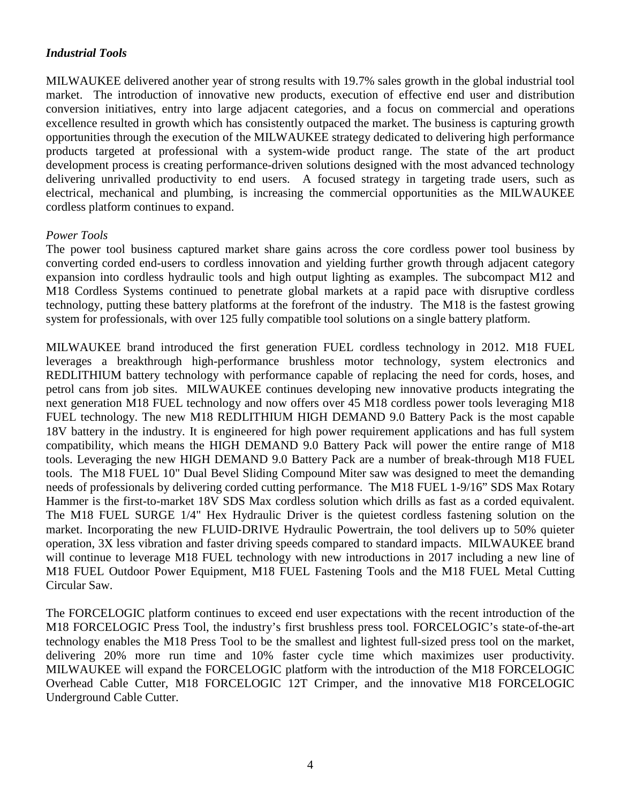### *Industrial Tools*

MILWAUKEE delivered another year of strong results with 19.7% sales growth in the global industrial tool market. The introduction of innovative new products, execution of effective end user and distribution conversion initiatives, entry into large adjacent categories, and a focus on commercial and operations excellence resulted in growth which has consistently outpaced the market. The business is capturing growth opportunities through the execution of the MILWAUKEE strategy dedicated to delivering high performance products targeted at professional with a system-wide product range. The state of the art product development process is creating performance-driven solutions designed with the most advanced technology delivering unrivalled productivity to end users. A focused strategy in targeting trade users, such as electrical, mechanical and plumbing, is increasing the commercial opportunities as the MILWAUKEE cordless platform continues to expand.

### *Power Tools*

The power tool business captured market share gains across the core cordless power tool business by converting corded end-users to cordless innovation and yielding further growth through adjacent category expansion into cordless hydraulic tools and high output lighting as examples. The subcompact M12 and M18 Cordless Systems continued to penetrate global markets at a rapid pace with disruptive cordless technology, putting these battery platforms at the forefront of the industry. The M18 is the fastest growing system for professionals, with over 125 fully compatible tool solutions on a single battery platform.

MILWAUKEE brand introduced the first generation FUEL cordless technology in 2012. M18 FUEL leverages a breakthrough high-performance brushless motor technology, system electronics and REDLITHIUM battery technology with performance capable of replacing the need for cords, hoses, and petrol cans from job sites. MILWAUKEE continues developing new innovative products integrating the next generation M18 FUEL technology and now offers over 45 M18 cordless power tools leveraging M18 FUEL technology. The new M18 REDLITHIUM HIGH DEMAND 9.0 Battery Pack is the most capable 18V battery in the industry. It is engineered for high power requirement applications and has full system compatibility, which means the HIGH DEMAND 9.0 Battery Pack will power the entire range of M18 tools. Leveraging the new HIGH DEMAND 9.0 Battery Pack are a number of break-through M18 FUEL tools. The M18 FUEL 10" Dual Bevel Sliding Compound Miter saw was designed to meet the demanding needs of professionals by delivering corded cutting performance. The M18 FUEL 1-9/16" SDS Max Rotary Hammer is the first-to-market 18V SDS Max cordless solution which drills as fast as a corded equivalent. The M18 FUEL SURGE 1/4" Hex Hydraulic Driver is the quietest cordless fastening solution on the market. Incorporating the new FLUID-DRIVE Hydraulic Powertrain, the tool delivers up to 50% quieter operation, 3X less vibration and faster driving speeds compared to standard impacts. MILWAUKEE brand will continue to leverage M18 FUEL technology with new introductions in 2017 including a new line of M18 FUEL Outdoor Power Equipment, M18 FUEL Fastening Tools and the M18 FUEL Metal Cutting Circular Saw.

The FORCELOGIC platform continues to exceed end user expectations with the recent introduction of the M18 FORCELOGIC Press Tool, the industry's first brushless press tool. FORCELOGIC's state-of-the-art technology enables the M18 Press Tool to be the smallest and lightest full-sized press tool on the market, delivering 20% more run time and 10% faster cycle time which maximizes user productivity. MILWAUKEE will expand the FORCELOGIC platform with the introduction of the M18 FORCELOGIC Overhead Cable Cutter, M18 FORCELOGIC 12T Crimper, and the innovative M18 FORCELOGIC Underground Cable Cutter.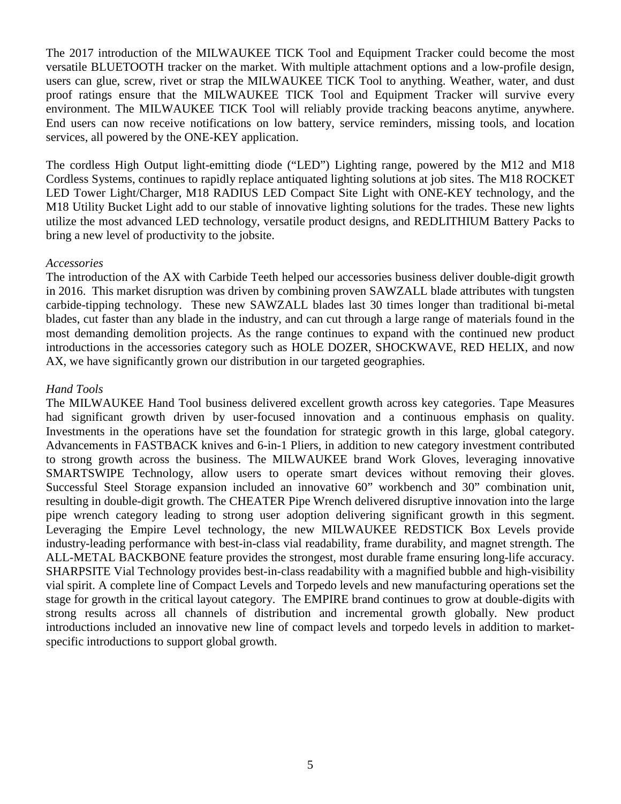The 2017 introduction of the MILWAUKEE TICK Tool and Equipment Tracker could become the most versatile BLUETOOTH tracker on the market. With multiple attachment options and a low-profile design, users can glue, screw, rivet or strap the MILWAUKEE TICK Tool to anything. Weather, water, and dust proof ratings ensure that the MILWAUKEE TICK Tool and Equipment Tracker will survive every environment. The MILWAUKEE TICK Tool will reliably provide tracking beacons anytime, anywhere. End users can now receive notifications on low battery, service reminders, missing tools, and location services, all powered by the ONE-KEY application.

The cordless High Output light-emitting diode ("LED") Lighting range, powered by the M12 and M18 Cordless Systems, continues to rapidly replace antiquated lighting solutions at job sites. The M18 ROCKET LED Tower Light/Charger, M18 RADIUS LED Compact Site Light with ONE-KEY technology, and the M18 Utility Bucket Light add to our stable of innovative lighting solutions for the trades. These new lights utilize the most advanced LED technology, versatile product designs, and REDLITHIUM Battery Packs to bring a new level of productivity to the jobsite.

### *Accessories*

The introduction of the AX with Carbide Teeth helped our accessories business deliver double-digit growth in 2016. This market disruption was driven by combining proven SAWZALL blade attributes with tungsten carbide-tipping technology. These new SAWZALL blades last 30 times longer than traditional bi-metal blades, cut faster than any blade in the industry, and can cut through a large range of materials found in the most demanding demolition projects. As the range continues to expand with the continued new product introductions in the accessories category such as HOLE DOZER, SHOCKWAVE, RED HELIX, and now AX, we have significantly grown our distribution in our targeted geographies.

### *Hand Tools*

The MILWAUKEE Hand Tool business delivered excellent growth across key categories. Tape Measures had significant growth driven by user-focused innovation and a continuous emphasis on quality. Investments in the operations have set the foundation for strategic growth in this large, global category. Advancements in FASTBACK knives and 6-in-1 Pliers, in addition to new category investment contributed to strong growth across the business. The MILWAUKEE brand Work Gloves, leveraging innovative SMARTSWIPE Technology, allow users to operate smart devices without removing their gloves. Successful Steel Storage expansion included an innovative 60" workbench and 30" combination unit, resulting in double-digit growth. The CHEATER Pipe Wrench delivered disruptive innovation into the large pipe wrench category leading to strong user adoption delivering significant growth in this segment. Leveraging the Empire Level technology, the new MILWAUKEE REDSTICK Box Levels provide industry-leading performance with best-in-class vial readability, frame durability, and magnet strength. The ALL-METAL BACKBONE feature provides the strongest, most durable frame ensuring long-life accuracy. SHARPSITE Vial Technology provides best-in-class readability with a magnified bubble and high-visibility vial spirit. A complete line of Compact Levels and Torpedo levels and new manufacturing operations set the stage for growth in the critical layout category. The EMPIRE brand continues to grow at double-digits with strong results across all channels of distribution and incremental growth globally. New product introductions included an innovative new line of compact levels and torpedo levels in addition to marketspecific introductions to support global growth.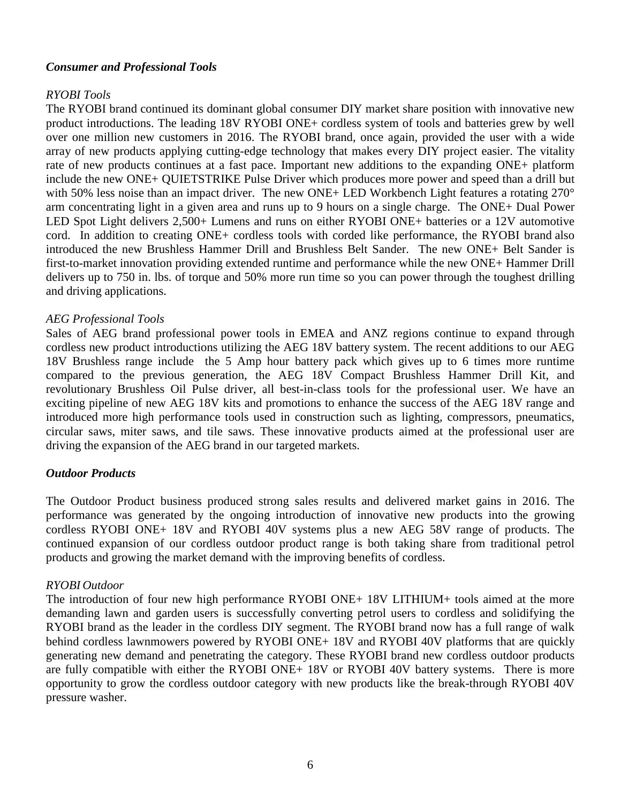### *Consumer and Professional Tools*

#### *RYOBI Tools*

The RYOBI brand continued its dominant global consumer DIY market share position with innovative new product introductions. The leading 18V RYOBI ONE+ cordless system of tools and batteries grew by well over one million new customers in 2016. The RYOBI brand, once again, provided the user with a wide array of new products applying cutting-edge technology that makes every DIY project easier. The vitality rate of new products continues at a fast pace. Important new additions to the expanding ONE+ platform include the new ONE+ QUIETSTRIKE Pulse Driver which produces more power and speed than a drill but with 50% less noise than an impact driver. The new ONE+ LED Workbench Light features a rotating 270° arm concentrating light in a given area and runs up to 9 hours on a single charge. The ONE+ Dual Power LED Spot Light delivers 2,500+ Lumens and runs on either RYOBI ONE+ batteries or a 12V automotive cord. In addition to creating ONE+ cordless tools with corded like performance, the RYOBI brand also introduced the new Brushless Hammer Drill and Brushless Belt Sander. The new ONE+ Belt Sander is first-to-market innovation providing extended runtime and performance while the new ONE+ Hammer Drill delivers up to 750 in. lbs. of torque and 50% more run time so you can power through the toughest drilling and driving applications.

#### *AEG Professional Tools*

Sales of AEG brand professional power tools in EMEA and ANZ regions continue to expand through cordless new product introductions utilizing the AEG 18V battery system. The recent additions to our AEG 18V Brushless range include the 5 Amp hour battery pack which gives up to 6 times more runtime compared to the previous generation, the AEG 18V Compact Brushless Hammer Drill Kit, and revolutionary Brushless Oil Pulse driver, all best-in-class tools for the professional user. We have an exciting pipeline of new AEG 18V kits and promotions to enhance the success of the AEG 18V range and introduced more high performance tools used in construction such as lighting, compressors, pneumatics, circular saws, miter saws, and tile saws. These innovative products aimed at the professional user are driving the expansion of the AEG brand in our targeted markets.

#### *Outdoor Products*

The Outdoor Product business produced strong sales results and delivered market gains in 2016. The performance was generated by the ongoing introduction of innovative new products into the growing cordless RYOBI ONE+ 18V and RYOBI 40V systems plus a new AEG 58V range of products. The continued expansion of our cordless outdoor product range is both taking share from traditional petrol products and growing the market demand with the improving benefits of cordless.

#### *RYOBI Outdoor*

The introduction of four new high performance RYOBI ONE+ 18V LITHIUM+ tools aimed at the more demanding lawn and garden users is successfully converting petrol users to cordless and solidifying the RYOBI brand as the leader in the cordless DIY segment. The RYOBI brand now has a full range of walk behind cordless lawnmowers powered by RYOBI ONE+ 18V and RYOBI 40V platforms that are quickly generating new demand and penetrating the category. These RYOBI brand new cordless outdoor products are fully compatible with either the RYOBI ONE+ 18V or RYOBI 40V battery systems. There is more opportunity to grow the cordless outdoor category with new products like the break-through RYOBI 40V pressure washer.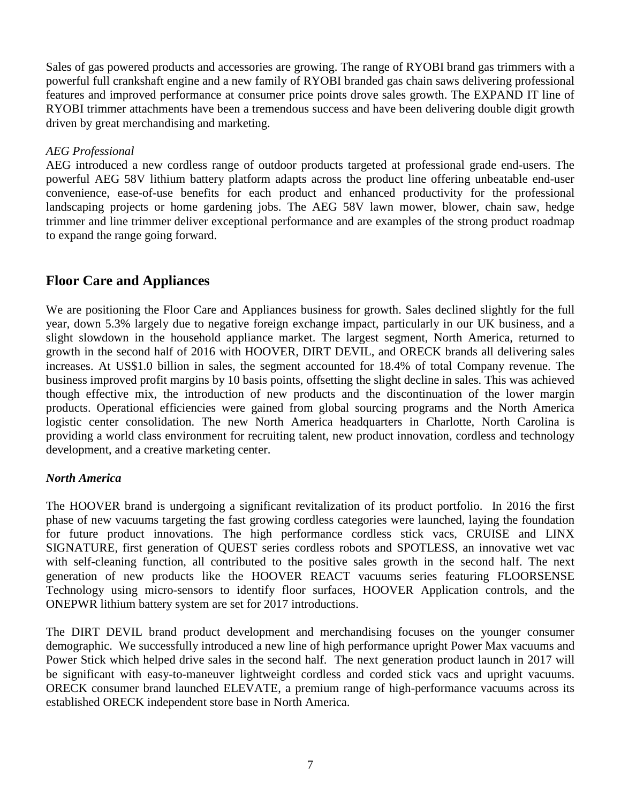Sales of gas powered products and accessories are growing. The range of RYOBI brand gas trimmers with a powerful full crankshaft engine and a new family of RYOBI branded gas chain saws delivering professional features and improved performance at consumer price points drove sales growth. The EXPAND IT line of RYOBI trimmer attachments have been a tremendous success and have been delivering double digit growth driven by great merchandising and marketing.

### *AEG Professional*

AEG introduced a new cordless range of outdoor products targeted at professional grade end-users. The powerful AEG 58V lithium battery platform adapts across the product line offering unbeatable end-user convenience, ease-of-use benefits for each product and enhanced productivity for the professional landscaping projects or home gardening jobs. The AEG 58V lawn mower, blower, chain saw, hedge trimmer and line trimmer deliver exceptional performance and are examples of the strong product roadmap to expand the range going forward.

# **Floor Care and Appliances**

We are positioning the Floor Care and Appliances business for growth. Sales declined slightly for the full year, down 5.3% largely due to negative foreign exchange impact, particularly in our UK business, and a slight slowdown in the household appliance market. The largest segment, North America, returned to growth in the second half of 2016 with HOOVER, DIRT DEVIL, and ORECK brands all delivering sales increases. At US\$1.0 billion in sales, the segment accounted for 18.4% of total Company revenue. The business improved profit margins by 10 basis points, offsetting the slight decline in sales. This was achieved though effective mix, the introduction of new products and the discontinuation of the lower margin products. Operational efficiencies were gained from global sourcing programs and the North America logistic center consolidation. The new North America headquarters in Charlotte, North Carolina is providing a world class environment for recruiting talent, new product innovation, cordless and technology development, and a creative marketing center.

### *North America*

The HOOVER brand is undergoing a significant revitalization of its product portfolio. In 2016 the first phase of new vacuums targeting the fast growing cordless categories were launched, laying the foundation for future product innovations. The high performance cordless stick vacs, CRUISE and LINX SIGNATURE, first generation of QUEST series cordless robots and SPOTLESS, an innovative wet vac with self-cleaning function, all contributed to the positive sales growth in the second half. The next generation of new products like the HOOVER REACT vacuums series featuring FLOORSENSE Technology using micro-sensors to identify floor surfaces, HOOVER Application controls, and the ONEPWR lithium battery system are set for 2017 introductions.

The DIRT DEVIL brand product development and merchandising focuses on the younger consumer demographic. We successfully introduced a new line of high performance upright Power Max vacuums and Power Stick which helped drive sales in the second half. The next generation product launch in 2017 will be significant with easy-to-maneuver lightweight cordless and corded stick vacs and upright vacuums. ORECK consumer brand launched ELEVATE, a premium range of high-performance vacuums across its established ORECK independent store base in North America.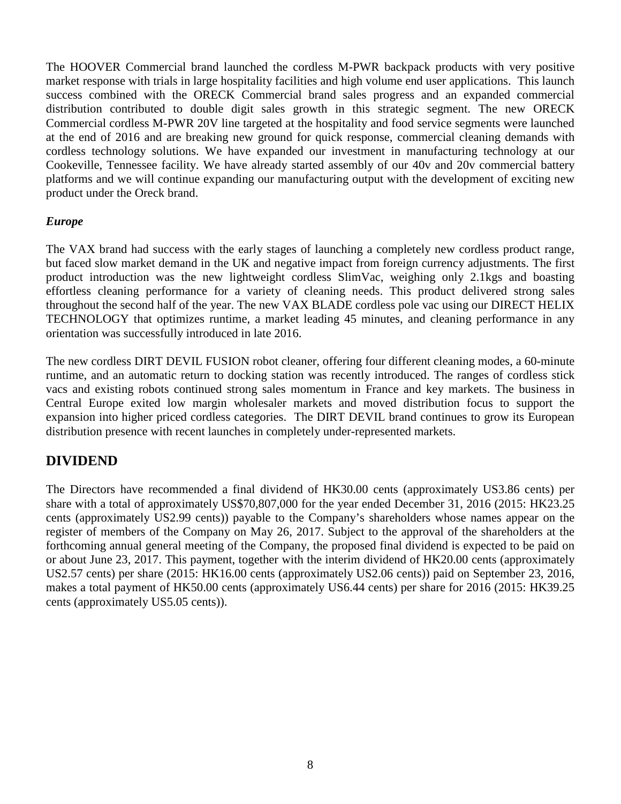The HOOVER Commercial brand launched the cordless M-PWR backpack products with very positive market response with trials in large hospitality facilities and high volume end user applications. This launch success combined with the ORECK Commercial brand sales progress and an expanded commercial distribution contributed to double digit sales growth in this strategic segment. The new ORECK Commercial cordless M-PWR 20V line targeted at the hospitality and food service segments were launched at the end of 2016 and are breaking new ground for quick response, commercial cleaning demands with cordless technology solutions. We have expanded our investment in manufacturing technology at our Cookeville, Tennessee facility. We have already started assembly of our 40v and 20v commercial battery platforms and we will continue expanding our manufacturing output with the development of exciting new product under the Oreck brand.

### *Europe*

The VAX brand had success with the early stages of launching a completely new cordless product range, but faced slow market demand in the UK and negative impact from foreign currency adjustments. The first product introduction was the new lightweight cordless SlimVac, weighing only 2.1kgs and boasting effortless cleaning performance for a variety of cleaning needs. This product delivered strong sales throughout the second half of the year. The new VAX BLADE cordless pole vac using our DIRECT HELIX TECHNOLOGY that optimizes runtime, a market leading 45 minutes, and cleaning performance in any orientation was successfully introduced in late 2016.

The new cordless DIRT DEVIL FUSION robot cleaner, offering four different cleaning modes, a 60-minute runtime, and an automatic return to docking station was recently introduced. The ranges of cordless stick vacs and existing robots continued strong sales momentum in France and key markets. The business in Central Europe exited low margin wholesaler markets and moved distribution focus to support the expansion into higher priced cordless categories. The DIRT DEVIL brand continues to grow its European distribution presence with recent launches in completely under-represented markets.

## **DIVIDEND**

The Directors have recommended a final dividend of HK30.00 cents (approximately US3.86 cents) per share with a total of approximately US\$70,807,000 for the year ended December 31, 2016 (2015: HK23.25 cents (approximately US2.99 cents)) payable to the Company's shareholders whose names appear on the register of members of the Company on May 26, 2017. Subject to the approval of the shareholders at the forthcoming annual general meeting of the Company, the proposed final dividend is expected to be paid on or about June 23, 2017. This payment, together with the interim dividend of HK20.00 cents (approximately US2.57 cents) per share (2015: HK16.00 cents (approximately US2.06 cents)) paid on September 23, 2016, makes a total payment of HK50.00 cents (approximately US6.44 cents) per share for 2016 (2015: HK39.25 cents (approximately US5.05 cents)).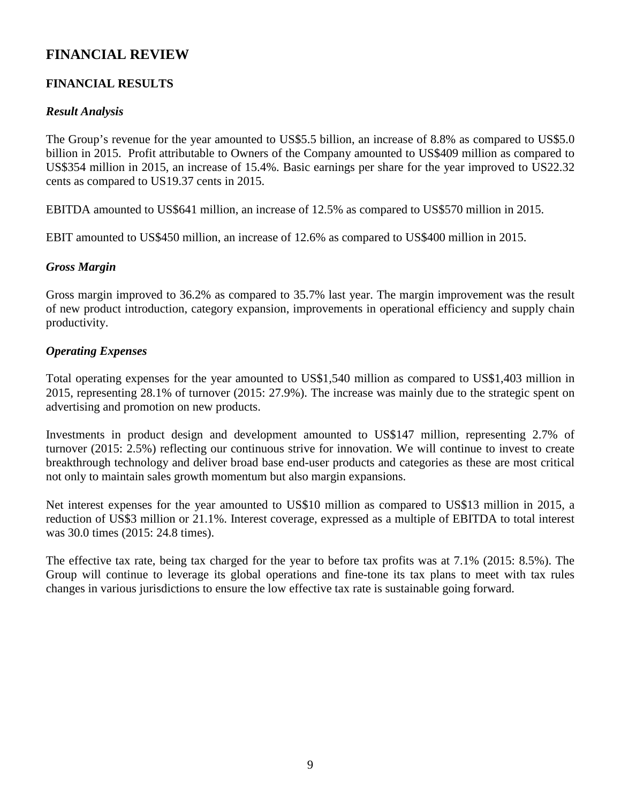# **FINANCIAL REVIEW**

## **FINANCIAL RESULTS**

### *Result Analysis*

The Group's revenue for the year amounted to US\$5.5 billion, an increase of 8.8% as compared to US\$5.0 billion in 2015. Profit attributable to Owners of the Company amounted to US\$409 million as compared to US\$354 million in 2015, an increase of 15.4%. Basic earnings per share for the year improved to US22.32 cents as compared to US19.37 cents in 2015.

EBITDA amounted to US\$641 million, an increase of 12.5% as compared to US\$570 million in 2015.

EBIT amounted to US\$450 million, an increase of 12.6% as compared to US\$400 million in 2015.

### *Gross Margin*

Gross margin improved to 36.2% as compared to 35.7% last year. The margin improvement was the result of new product introduction, category expansion, improvements in operational efficiency and supply chain productivity.

### *Operating Expenses*

Total operating expenses for the year amounted to US\$1,540 million as compared to US\$1,403 million in 2015, representing 28.1% of turnover (2015: 27.9%). The increase was mainly due to the strategic spent on advertising and promotion on new products.

Investments in product design and development amounted to US\$147 million, representing 2.7% of turnover (2015: 2.5%) reflecting our continuous strive for innovation. We will continue to invest to create breakthrough technology and deliver broad base end-user products and categories as these are most critical not only to maintain sales growth momentum but also margin expansions.

Net interest expenses for the year amounted to US\$10 million as compared to US\$13 million in 2015, a reduction of US\$3 million or 21.1%. Interest coverage, expressed as a multiple of EBITDA to total interest was 30.0 times (2015: 24.8 times).

The effective tax rate, being tax charged for the year to before tax profits was at 7.1% (2015: 8.5%). The Group will continue to leverage its global operations and fine-tone its tax plans to meet with tax rules changes in various jurisdictions to ensure the low effective tax rate is sustainable going forward.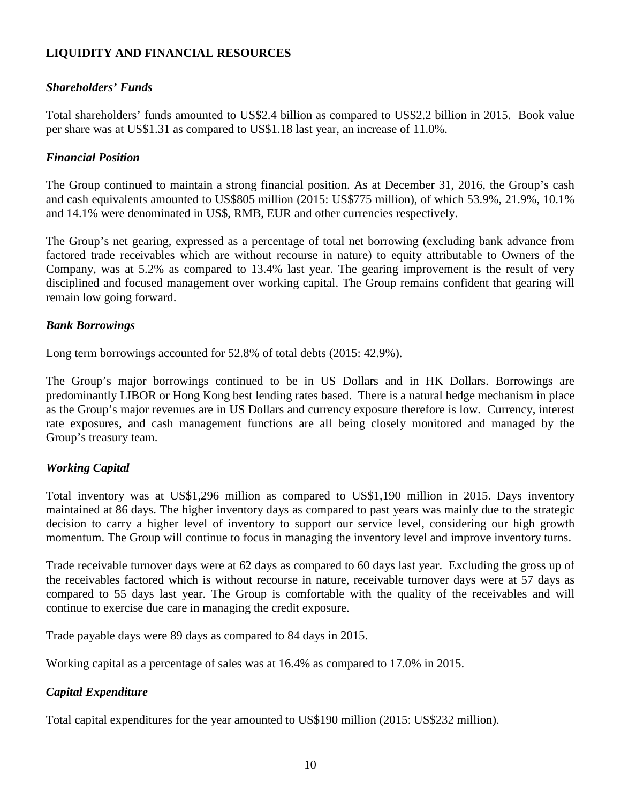### **LIQUIDITY AND FINANCIAL RESOURCES**

### *Shareholders' Funds*

Total shareholders' funds amounted to US\$2.4 billion as compared to US\$2.2 billion in 2015. Book value per share was at US\$1.31 as compared to US\$1.18 last year, an increase of 11.0%.

### *Financial Position*

The Group continued to maintain a strong financial position. As at December 31, 2016, the Group's cash and cash equivalents amounted to US\$805 million (2015: US\$775 million), of which 53.9%, 21.9%, 10.1% and 14.1% were denominated in US\$, RMB, EUR and other currencies respectively.

The Group's net gearing, expressed as a percentage of total net borrowing (excluding bank advance from factored trade receivables which are without recourse in nature) to equity attributable to Owners of the Company, was at 5.2% as compared to 13.4% last year. The gearing improvement is the result of very disciplined and focused management over working capital. The Group remains confident that gearing will remain low going forward.

### *Bank Borrowings*

Long term borrowings accounted for 52.8% of total debts (2015: 42.9%).

The Group's major borrowings continued to be in US Dollars and in HK Dollars. Borrowings are predominantly LIBOR or Hong Kong best lending rates based. There is a natural hedge mechanism in place as the Group's major revenues are in US Dollars and currency exposure therefore is low. Currency, interest rate exposures, and cash management functions are all being closely monitored and managed by the Group's treasury team.

### *Working Capital*

Total inventory was at US\$1,296 million as compared to US\$1,190 million in 2015. Days inventory maintained at 86 days. The higher inventory days as compared to past years was mainly due to the strategic decision to carry a higher level of inventory to support our service level, considering our high growth momentum. The Group will continue to focus in managing the inventory level and improve inventory turns.

Trade receivable turnover days were at 62 days as compared to 60 days last year. Excluding the gross up of the receivables factored which is without recourse in nature, receivable turnover days were at 57 days as compared to 55 days last year. The Group is comfortable with the quality of the receivables and will continue to exercise due care in managing the credit exposure.

Trade payable days were 89 days as compared to 84 days in 2015.

Working capital as a percentage of sales was at 16.4% as compared to 17.0% in 2015.

### *Capital Expenditure*

Total capital expenditures for the year amounted to US\$190 million (2015: US\$232 million).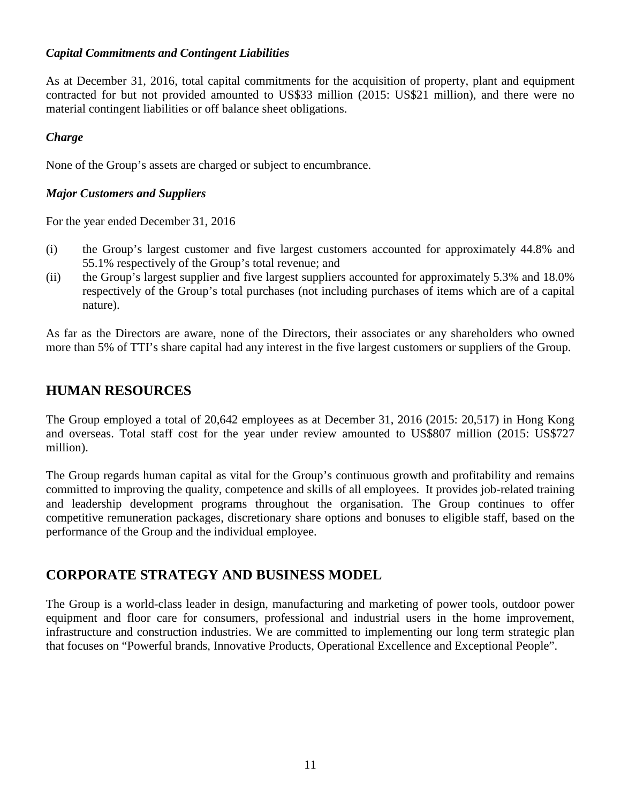### *Capital Commitments and Contingent Liabilities*

As at December 31, 2016, total capital commitments for the acquisition of property, plant and equipment contracted for but not provided amounted to US\$33 million (2015: US\$21 million), and there were no material contingent liabilities or off balance sheet obligations.

### *Charge*

None of the Group's assets are charged or subject to encumbrance.

### *Major Customers and Suppliers*

For the year ended December 31, 2016

- (i) the Group's largest customer and five largest customers accounted for approximately 44.8% and 55.1% respectively of the Group's total revenue; and
- (ii) the Group's largest supplier and five largest suppliers accounted for approximately 5.3% and 18.0% respectively of the Group's total purchases (not including purchases of items which are of a capital nature).

As far as the Directors are aware, none of the Directors, their associates or any shareholders who owned more than 5% of TTI's share capital had any interest in the five largest customers or suppliers of the Group.

## **HUMAN RESOURCES**

The Group employed a total of 20,642 employees as at December 31, 2016 (2015: 20,517) in Hong Kong and overseas. Total staff cost for the year under review amounted to US\$807 million (2015: US\$727 million).

The Group regards human capital as vital for the Group's continuous growth and profitability and remains committed to improving the quality, competence and skills of all employees. It provides job-related training and leadership development programs throughout the organisation. The Group continues to offer competitive remuneration packages, discretionary share options and bonuses to eligible staff, based on the performance of the Group and the individual employee.

## **CORPORATE STRATEGY AND BUSINESS MODEL**

The Group is a world-class leader in design, manufacturing and marketing of power tools, outdoor power equipment and floor care for consumers, professional and industrial users in the home improvement, infrastructure and construction industries. We are committed to implementing our long term strategic plan that focuses on "Powerful brands, Innovative Products, Operational Excellence and Exceptional People".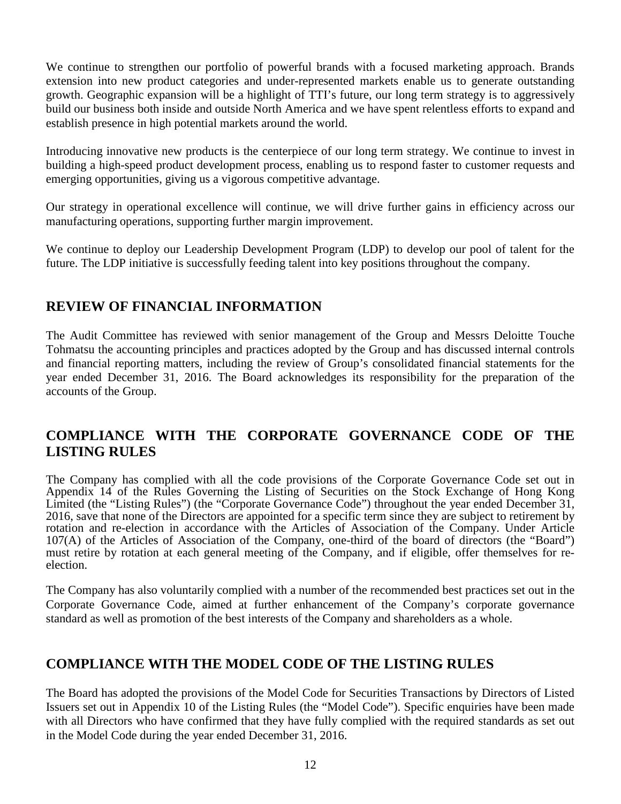We continue to strengthen our portfolio of powerful brands with a focused marketing approach. Brands extension into new product categories and under-represented markets enable us to generate outstanding growth. Geographic expansion will be a highlight of TTI's future, our long term strategy is to aggressively build our business both inside and outside North America and we have spent relentless efforts to expand and establish presence in high potential markets around the world.

Introducing innovative new products is the centerpiece of our long term strategy. We continue to invest in building a high-speed product development process, enabling us to respond faster to customer requests and emerging opportunities, giving us a vigorous competitive advantage.

Our strategy in operational excellence will continue, we will drive further gains in efficiency across our manufacturing operations, supporting further margin improvement.

We continue to deploy our Leadership Development Program (LDP) to develop our pool of talent for the future. The LDP initiative is successfully feeding talent into key positions throughout the company.

# **REVIEW OF FINANCIAL INFORMATION**

The Audit Committee has reviewed with senior management of the Group and Messrs Deloitte Touche Tohmatsu the accounting principles and practices adopted by the Group and has discussed internal controls and financial reporting matters, including the review of Group's consolidated financial statements for the year ended December 31, 2016. The Board acknowledges its responsibility for the preparation of the accounts of the Group.

# **COMPLIANCE WITH THE CORPORATE GOVERNANCE CODE OF THE LISTING RULES**

The Company has complied with all the code provisions of the Corporate Governance Code set out in Appendix 14 of the Rules Governing the Listing of Securities on the Stock Exchange of Hong Kong Limited (the "Listing Rules") (the "Corporate Governance Code") throughout the year ended December 31, 2016, save that none of the Directors are appointed for a specific term since they are subject to retirement by rotation and re-election in accordance with the Articles of Association of the Company. Under Article 107(A) of the Articles of Association of the Company, one-third of the board of directors (the "Board") must retire by rotation at each general meeting of the Company, and if eligible, offer themselves for reelection.

The Company has also voluntarily complied with a number of the recommended best practices set out in the Corporate Governance Code, aimed at further enhancement of the Company's corporate governance standard as well as promotion of the best interests of the Company and shareholders as a whole.

# **COMPLIANCE WITH THE MODEL CODE OF THE LISTING RULES**

The Board has adopted the provisions of the Model Code for Securities Transactions by Directors of Listed Issuers set out in Appendix 10 of the Listing Rules (the "Model Code"). Specific enquiries have been made with all Directors who have confirmed that they have fully complied with the required standards as set out in the Model Code during the year ended December 31, 2016.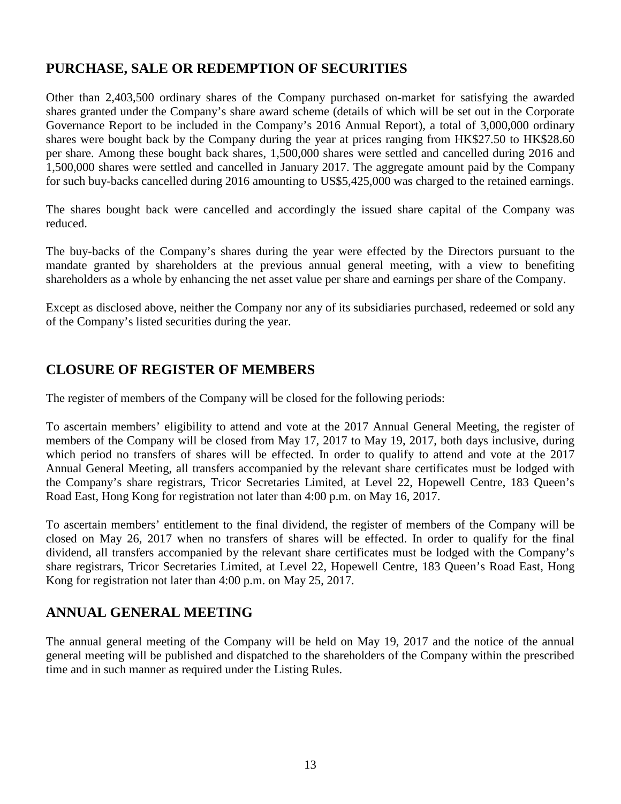# **PURCHASE, SALE OR REDEMPTION OF SECURITIES**

Other than 2,403,500 ordinary shares of the Company purchased on-market for satisfying the awarded shares granted under the Company's share award scheme (details of which will be set out in the Corporate Governance Report to be included in the Company's 2016 Annual Report), a total of 3,000,000 ordinary shares were bought back by the Company during the year at prices ranging from HK\$27.50 to HK\$28.60 per share. Among these bought back shares, 1,500,000 shares were settled and cancelled during 2016 and 1,500,000 shares were settled and cancelled in January 2017. The aggregate amount paid by the Company for such buy-backs cancelled during 2016 amounting to US\$5,425,000 was charged to the retained earnings.

The shares bought back were cancelled and accordingly the issued share capital of the Company was reduced.

The buy-backs of the Company's shares during the year were effected by the Directors pursuant to the mandate granted by shareholders at the previous annual general meeting, with a view to benefiting shareholders as a whole by enhancing the net asset value per share and earnings per share of the Company.

Except as disclosed above, neither the Company nor any of its subsidiaries purchased, redeemed or sold any of the Company's listed securities during the year.

# **CLOSURE OF REGISTER OF MEMBERS**

The register of members of the Company will be closed for the following periods:

To ascertain members' eligibility to attend and vote at the 2017 Annual General Meeting, the register of members of the Company will be closed from May 17, 2017 to May 19, 2017, both days inclusive, during which period no transfers of shares will be effected. In order to qualify to attend and vote at the 2017 Annual General Meeting, all transfers accompanied by the relevant share certificates must be lodged with the Company's share registrars, Tricor Secretaries Limited, at Level 22, Hopewell Centre, 183 Queen's Road East, Hong Kong for registration not later than 4:00 p.m. on May 16, 2017.

To ascertain members' entitlement to the final dividend, the register of members of the Company will be closed on May 26, 2017 when no transfers of shares will be effected. In order to qualify for the final dividend, all transfers accompanied by the relevant share certificates must be lodged with the Company's share registrars, Tricor Secretaries Limited, at Level 22, Hopewell Centre, 183 Queen's Road East, Hong Kong for registration not later than 4:00 p.m. on May 25, 2017.

# **ANNUAL GENERAL MEETING**

The annual general meeting of the Company will be held on May 19, 2017 and the notice of the annual general meeting will be published and dispatched to the shareholders of the Company within the prescribed time and in such manner as required under the Listing Rules.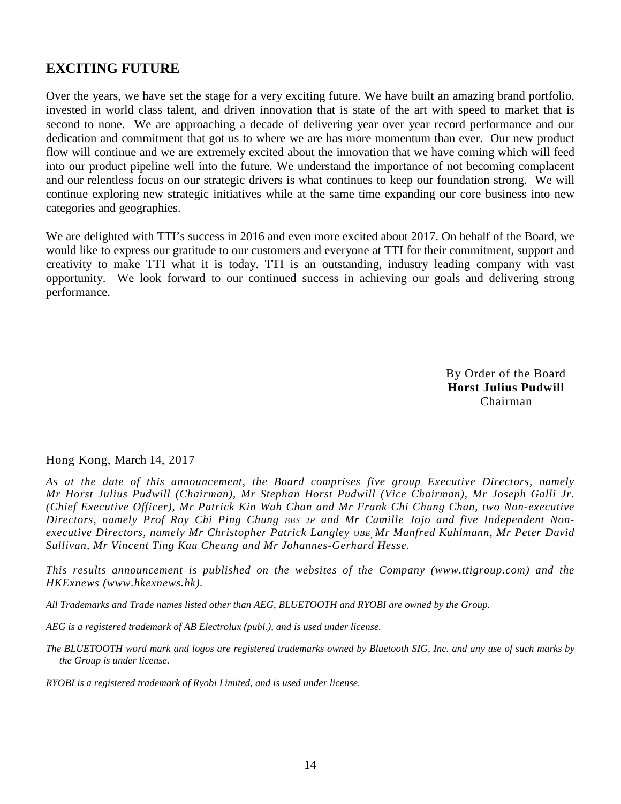# **EXCITING FUTURE**

Over the years, we have set the stage for a very exciting future. We have built an amazing brand portfolio, invested in world class talent, and driven innovation that is state of the art with speed to market that is second to none. We are approaching a decade of delivering year over year record performance and our dedication and commitment that got us to where we are has more momentum than ever. Our new product flow will continue and we are extremely excited about the innovation that we have coming which will feed into our product pipeline well into the future. We understand the importance of not becoming complacent and our relentless focus on our strategic drivers is what continues to keep our foundation strong. We will continue exploring new strategic initiatives while at the same time expanding our core business into new categories and geographies.

We are delighted with TTI's success in 2016 and even more excited about 2017. On behalf of the Board, we would like to express our gratitude to our customers and everyone at TTI for their commitment, support and creativity to make TTI what it is today. TTI is an outstanding, industry leading company with vast opportunity. We look forward to our continued success in achieving our goals and delivering strong performance.

> By Order of the Board **Horst Julius Pudwill**  Chairman

### Hong Kong, March 14, 2017

*As at the date of this announcement, the Board comprises five group Executive Directors, namely Mr Horst Julius Pudwill (Chairman), Mr Stephan Horst Pudwill (Vice Chairman), Mr Joseph Galli Jr. (Chief Executive Officer), Mr Patrick Kin Wah Chan and Mr Frank Chi Chung Chan, two Non-executive Directors, namely Prof Roy Chi Ping Chung BBS JP and Mr Camille Jojo and five Independent Nonexecutive Directors, namely Mr Christopher Patrick Langley OBE, Mr Manfred Kuhlmann, Mr Peter David Sullivan, Mr Vincent Ting Kau Cheung and Mr Johannes-Gerhard Hesse.*

*This results announcement is published on the websites of the Company (www.ttigroup.com) and the HKExnews (www.hkexnews.hk).* 

*All Trademarks and Trade names listed other than AEG, BLUETOOTH and RYOBI are owned by the Group.* 

*AEG is a registered trademark of AB Electrolux (publ.), and is used under license.* 

*The BLUETOOTH word mark and logos are registered trademarks owned by Bluetooth SIG, Inc. and any use of such marks by the Group is under license.* 

*RYOBI is a registered trademark of Ryobi Limited, and is used under license.*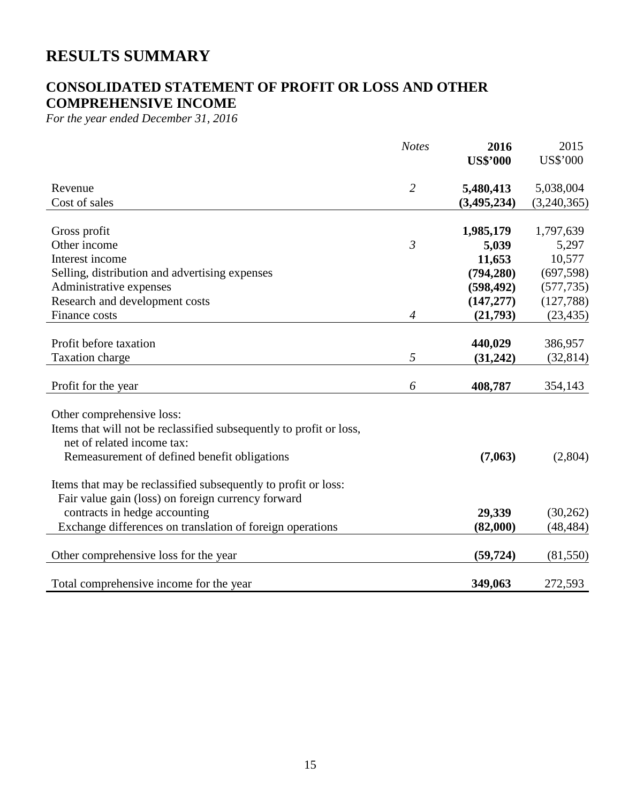# **RESULTS SUMMARY**

# **CONSOLIDATED STATEMENT OF PROFIT OR LOSS AND OTHER COMPREHENSIVE INCOME**

*For the year ended December 31, 2016* 

|                                                                     | <b>Notes</b>   | 2016<br><b>US\$'000</b> | 2015<br><b>US\$'000</b> |
|---------------------------------------------------------------------|----------------|-------------------------|-------------------------|
| Revenue                                                             | $\overline{2}$ | 5,480,413               | 5,038,004               |
| Cost of sales                                                       |                | (3,495,234)             | (3,240,365)             |
| Gross profit                                                        |                | 1,985,179               | 1,797,639               |
| Other income                                                        | $\mathfrak{Z}$ | 5,039                   | 5,297                   |
| Interest income                                                     |                | 11,653                  | 10,577                  |
| Selling, distribution and advertising expenses                      |                | (794, 280)              | (697, 598)              |
| Administrative expenses                                             |                | (598, 492)              | (577, 735)              |
| Research and development costs                                      |                | (147, 277)              | (127,788)               |
| Finance costs                                                       | $\overline{4}$ | (21,793)                | (23, 435)               |
|                                                                     |                |                         |                         |
| Profit before taxation                                              |                | 440,029                 | 386,957                 |
| Taxation charge                                                     | 5              | (31,242)                | (32, 814)               |
| Profit for the year                                                 | 6              | 408,787                 | 354,143                 |
| Other comprehensive loss:                                           |                |                         |                         |
| Items that will not be reclassified subsequently to profit or loss, |                |                         |                         |
| net of related income tax:                                          |                |                         |                         |
| Remeasurement of defined benefit obligations                        |                | (7,063)                 | (2,804)                 |
| Items that may be reclassified subsequently to profit or loss:      |                |                         |                         |
| Fair value gain (loss) on foreign currency forward                  |                |                         |                         |
| contracts in hedge accounting                                       |                | 29,339                  | (30, 262)               |
| Exchange differences on translation of foreign operations           |                | (82,000)                | (48, 484)               |
| Other comprehensive loss for the year                               |                | (59, 724)               | (81, 550)               |
| Total comprehensive income for the year                             |                |                         |                         |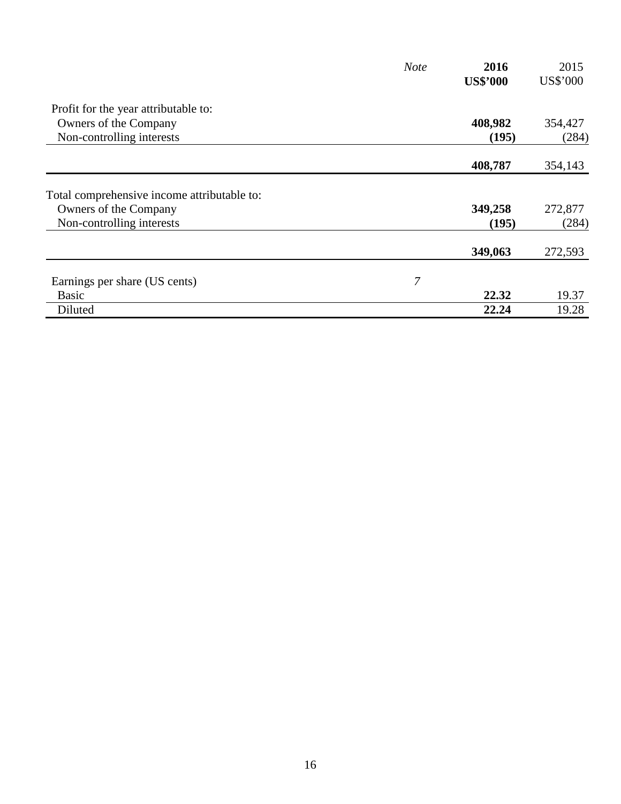|                                             | <b>Note</b> | 2016            | 2015     |
|---------------------------------------------|-------------|-----------------|----------|
|                                             |             | <b>US\$'000</b> | US\$'000 |
| Profit for the year attributable to:        |             |                 |          |
| Owners of the Company                       |             | 408,982         | 354,427  |
| Non-controlling interests                   |             | (195)           | (284)    |
|                                             |             | 408,787         | 354,143  |
| Total comprehensive income attributable to: |             |                 |          |
| Owners of the Company                       |             | 349,258         | 272,877  |
| Non-controlling interests                   |             | (195)           | (284)    |
|                                             |             | 349,063         | 272,593  |
| Earnings per share (US cents)               | 7           |                 |          |
| <b>Basic</b>                                |             | 22.32           | 19.37    |
| Diluted                                     |             | 22.24           | 19.28    |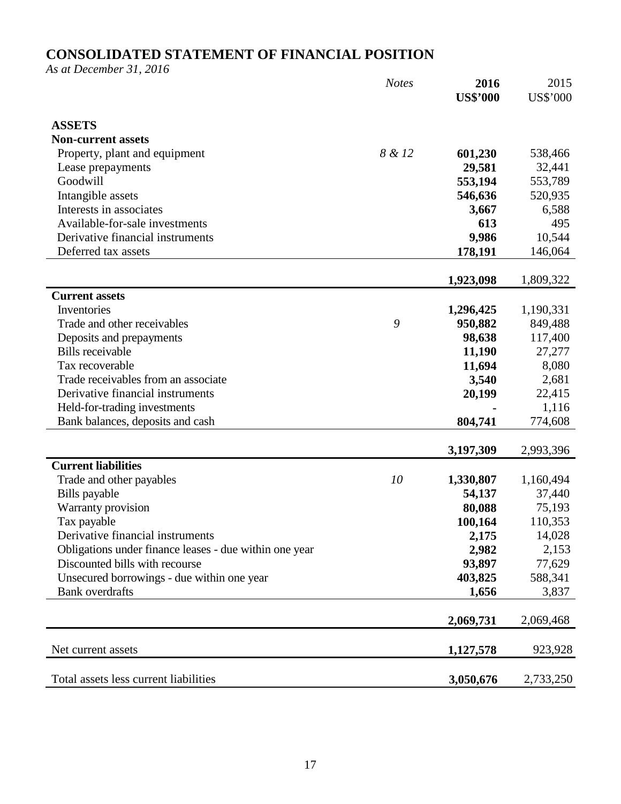# **CONSOLIDATED STATEMENT OF FINANCIAL POSITION**

*As at December 31, 2016* 

|                                                        | <b>Notes</b> | 2016            | 2015            |
|--------------------------------------------------------|--------------|-----------------|-----------------|
|                                                        |              | <b>US\$'000</b> | <b>US\$'000</b> |
|                                                        |              |                 |                 |
| <b>ASSETS</b><br><b>Non-current assets</b>             |              |                 |                 |
| Property, plant and equipment                          | 8 & 12       | 601,230         | 538,466         |
| Lease prepayments                                      |              | 29,581          | 32,441          |
| Goodwill                                               |              | 553,194         | 553,789         |
| Intangible assets                                      |              | 546,636         | 520,935         |
| Interests in associates                                |              | 3,667           | 6,588           |
| Available-for-sale investments                         |              | 613             | 495             |
| Derivative financial instruments                       |              | 9,986           | 10,544          |
| Deferred tax assets                                    |              | 178,191         | 146,064         |
|                                                        |              |                 |                 |
|                                                        |              | 1,923,098       | 1,809,322       |
| <b>Current assets</b>                                  |              |                 |                 |
| Inventories                                            |              | 1,296,425       | 1,190,331       |
| Trade and other receivables                            | 9            | 950,882         | 849,488         |
| Deposits and prepayments                               |              | 98,638          | 117,400         |
| <b>Bills</b> receivable                                |              | 11,190          | 27,277          |
| Tax recoverable                                        |              | 11,694          | 8,080           |
| Trade receivables from an associate                    |              | 3,540           | 2,681           |
| Derivative financial instruments                       |              | 20,199          | 22,415          |
| Held-for-trading investments                           |              |                 | 1,116           |
| Bank balances, deposits and cash                       |              | 804,741         | 774,608         |
|                                                        |              |                 |                 |
|                                                        |              | 3,197,309       | 2,993,396       |
| <b>Current liabilities</b>                             |              |                 |                 |
| Trade and other payables                               | 10           | 1,330,807       | 1,160,494       |
| Bills payable                                          |              | 54,137          | 37,440          |
| Warranty provision                                     |              | 80,088          | 75,193          |
| Tax payable                                            |              | 100,164         | 110,353         |
| Derivative financial instruments                       |              | 2,175           | 14,028          |
| Obligations under finance leases - due within one year |              | 2,982           | 2,153           |
| Discounted bills with recourse                         |              | 93,897          | 77,629          |
| Unsecured borrowings - due within one year             |              | 403,825         | 588,341         |
| <b>Bank</b> overdrafts                                 |              | 1,656           | 3,837           |
|                                                        |              | 2,069,731       | 2,069,468       |
|                                                        |              |                 |                 |
| Net current assets                                     |              | 1,127,578       | 923,928         |
| Total assets less current liabilities                  |              | 3,050,676       | 2,733,250       |
|                                                        |              |                 |                 |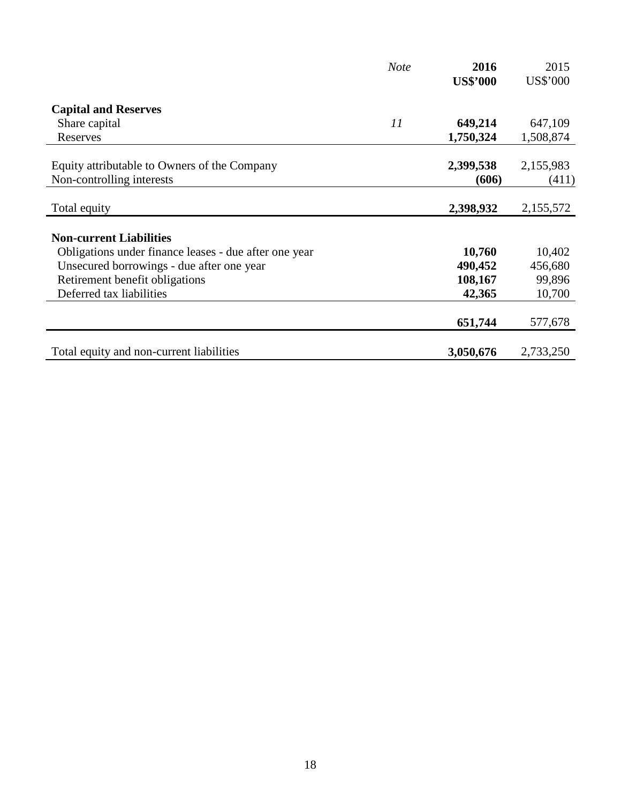|                                                                           | <b>Note</b> | 2016               | 2015               |
|---------------------------------------------------------------------------|-------------|--------------------|--------------------|
|                                                                           |             | <b>US\$'000</b>    | US\$'000           |
| <b>Capital and Reserves</b>                                               |             |                    |                    |
| Share capital                                                             | 11          | 649,214            | 647,109            |
| Reserves                                                                  |             | 1,750,324          | 1,508,874          |
| Equity attributable to Owners of the Company<br>Non-controlling interests |             | 2,399,538<br>(606) | 2,155,983<br>(411) |
|                                                                           |             |                    |                    |
| Total equity                                                              |             | 2,398,932          | 2,155,572          |
| <b>Non-current Liabilities</b>                                            |             |                    |                    |
| Obligations under finance leases - due after one year                     |             | 10,760             | 10,402             |
| Unsecured borrowings - due after one year                                 |             | 490,452            | 456,680            |
| Retirement benefit obligations                                            |             | 108,167            | 99,896             |
| Deferred tax liabilities                                                  |             | 42,365             | 10,700             |
|                                                                           |             | 651,744            | 577,678            |
| Total equity and non-current liabilities                                  |             | 3,050,676          | 2,733,250          |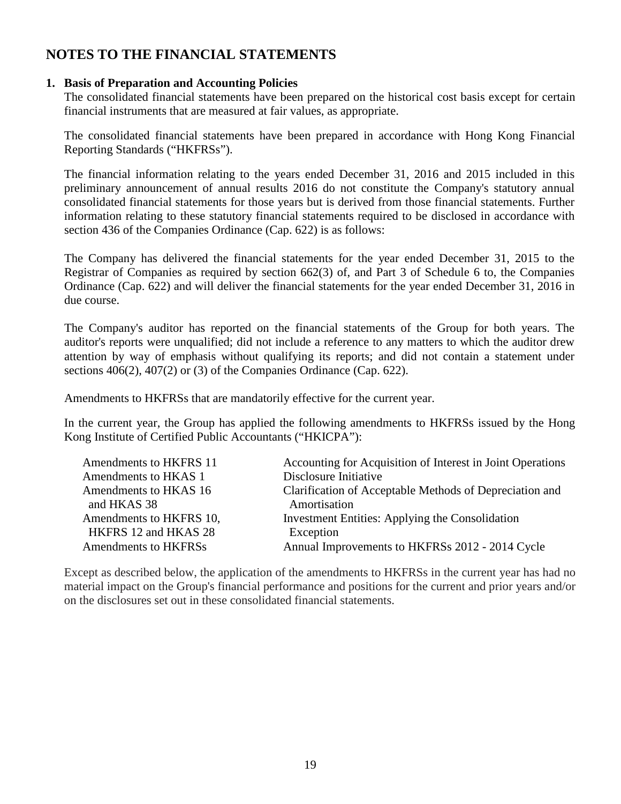# **NOTES TO THE FINANCIAL STATEMENTS**

### **1. Basis of Preparation and Accounting Policies**

The consolidated financial statements have been prepared on the historical cost basis except for certain financial instruments that are measured at fair values, as appropriate.

The consolidated financial statements have been prepared in accordance with Hong Kong Financial Reporting Standards ("HKFRSs").

The financial information relating to the years ended December 31, 2016 and 2015 included in this preliminary announcement of annual results 2016 do not constitute the Company's statutory annual consolidated financial statements for those years but is derived from those financial statements. Further information relating to these statutory financial statements required to be disclosed in accordance with section 436 of the Companies Ordinance (Cap. 622) is as follows:

The Company has delivered the financial statements for the year ended December 31, 2015 to the Registrar of Companies as required by section 662(3) of, and Part 3 of Schedule 6 to, the Companies Ordinance (Cap. 622) and will deliver the financial statements for the year ended December 31, 2016 in due course.

The Company's auditor has reported on the financial statements of the Group for both years. The auditor's reports were unqualified; did not include a reference to any matters to which the auditor drew attention by way of emphasis without qualifying its reports; and did not contain a statement under sections 406(2), 407(2) or (3) of the Companies Ordinance (Cap. 622).

Amendments to HKFRSs that are mandatorily effective for the current year.

In the current year, the Group has applied the following amendments to HKFRSs issued by the Hong Kong Institute of Certified Public Accountants ("HKICPA"):

| Amendments to HKFRS 11  | Accounting for Acquisition of Interest in Joint Operations |
|-------------------------|------------------------------------------------------------|
| Amendments to HKAS 1    | Disclosure Initiative                                      |
| Amendments to HKAS 16   | Clarification of Acceptable Methods of Depreciation and    |
| and HKAS 38             | Amortisation                                               |
| Amendments to HKFRS 10, | Investment Entities: Applying the Consolidation            |
| HKFRS 12 and HKAS 28    | Exception                                                  |
| Amendments to HKFRSs    | Annual Improvements to HKFRSs 2012 - 2014 Cycle            |

Except as described below, the application of the amendments to HKFRSs in the current year has had no material impact on the Group's financial performance and positions for the current and prior years and/or on the disclosures set out in these consolidated financial statements.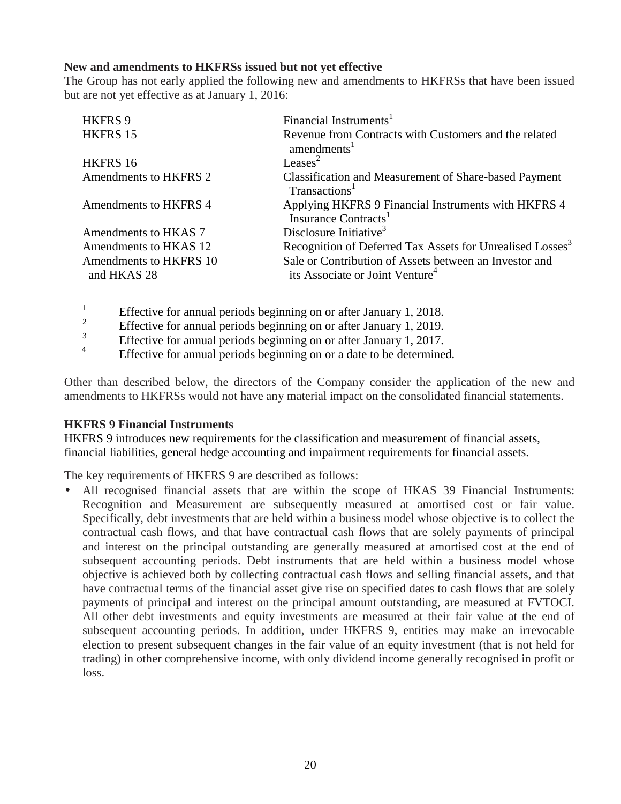### **New and amendments to HKFRSs issued but not yet effective**

The Group has not early applied the following new and amendments to HKFRSs that have been issued but are not yet effective as at January 1, 2016:

| HKFRS 9                               | Financial Instruments <sup>1</sup>                                                                    |
|---------------------------------------|-------------------------------------------------------------------------------------------------------|
| HKFRS 15                              | Revenue from Contracts with Customers and the related<br>amendments <sup>1</sup>                      |
| HKFRS 16                              | Leases <sup>2</sup>                                                                                   |
| Amendments to HKFRS 2                 | <b>Classification and Measurement of Share-based Payment</b><br>Transactions <sup>1</sup>             |
| Amendments to HKFRS 4                 | Applying HKFRS 9 Financial Instruments with HKFRS 4<br>Insurance Contracts <sup>1</sup>               |
| Amendments to HKAS 7                  | Disclosure Initiative <sup>3</sup>                                                                    |
| Amendments to HKAS 12                 | Recognition of Deferred Tax Assets for Unrealised Losses <sup>3</sup>                                 |
| Amendments to HKFRS 10<br>and HKAS 28 | Sale or Contribution of Assets between an Investor and<br>its Associate or Joint Venture <sup>4</sup> |

1 Effective for annual periods beginning on or after January 1, 2018.

2 Effective for annual periods beginning on or after January 1, 2019.

3 Effective for annual periods beginning on or after January 1, 2017.

4 Effective for annual periods beginning on or a date to be determined.

Other than described below, the directors of the Company consider the application of the new and amendments to HKFRSs would not have any material impact on the consolidated financial statements.

### **HKFRS 9 Financial Instruments**

HKFRS 9 introduces new requirements for the classification and measurement of financial assets, financial liabilities, general hedge accounting and impairment requirements for financial assets.

The key requirements of HKFRS 9 are described as follows:

• All recognised financial assets that are within the scope of HKAS 39 Financial Instruments: Recognition and Measurement are subsequently measured at amortised cost or fair value. Specifically, debt investments that are held within a business model whose objective is to collect the contractual cash flows, and that have contractual cash flows that are solely payments of principal and interest on the principal outstanding are generally measured at amortised cost at the end of subsequent accounting periods. Debt instruments that are held within a business model whose objective is achieved both by collecting contractual cash flows and selling financial assets, and that have contractual terms of the financial asset give rise on specified dates to cash flows that are solely payments of principal and interest on the principal amount outstanding, are measured at FVTOCI. All other debt investments and equity investments are measured at their fair value at the end of subsequent accounting periods. In addition, under HKFRS 9, entities may make an irrevocable election to present subsequent changes in the fair value of an equity investment (that is not held for trading) in other comprehensive income, with only dividend income generally recognised in profit or loss.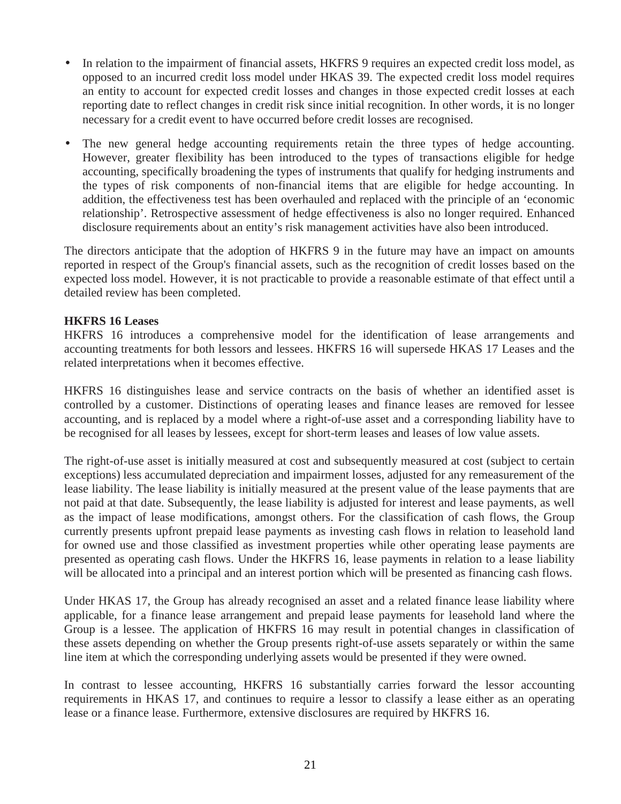- In relation to the impairment of financial assets, HKFRS 9 requires an expected credit loss model, as opposed to an incurred credit loss model under HKAS 39. The expected credit loss model requires an entity to account for expected credit losses and changes in those expected credit losses at each reporting date to reflect changes in credit risk since initial recognition. In other words, it is no longer necessary for a credit event to have occurred before credit losses are recognised.
- The new general hedge accounting requirements retain the three types of hedge accounting. However, greater flexibility has been introduced to the types of transactions eligible for hedge accounting, specifically broadening the types of instruments that qualify for hedging instruments and the types of risk components of non-financial items that are eligible for hedge accounting. In addition, the effectiveness test has been overhauled and replaced with the principle of an 'economic relationship'. Retrospective assessment of hedge effectiveness is also no longer required. Enhanced disclosure requirements about an entity's risk management activities have also been introduced.

The directors anticipate that the adoption of HKFRS 9 in the future may have an impact on amounts reported in respect of the Group's financial assets, such as the recognition of credit losses based on the expected loss model. However, it is not practicable to provide a reasonable estimate of that effect until a detailed review has been completed.

### **HKFRS 16 Leases**

HKFRS 16 introduces a comprehensive model for the identification of lease arrangements and accounting treatments for both lessors and lessees. HKFRS 16 will supersede HKAS 17 Leases and the related interpretations when it becomes effective.

HKFRS 16 distinguishes lease and service contracts on the basis of whether an identified asset is controlled by a customer. Distinctions of operating leases and finance leases are removed for lessee accounting, and is replaced by a model where a right-of-use asset and a corresponding liability have to be recognised for all leases by lessees, except for short-term leases and leases of low value assets.

The right-of-use asset is initially measured at cost and subsequently measured at cost (subject to certain exceptions) less accumulated depreciation and impairment losses, adjusted for any remeasurement of the lease liability. The lease liability is initially measured at the present value of the lease payments that are not paid at that date. Subsequently, the lease liability is adjusted for interest and lease payments, as well as the impact of lease modifications, amongst others. For the classification of cash flows, the Group currently presents upfront prepaid lease payments as investing cash flows in relation to leasehold land for owned use and those classified as investment properties while other operating lease payments are presented as operating cash flows. Under the HKFRS 16, lease payments in relation to a lease liability will be allocated into a principal and an interest portion which will be presented as financing cash flows.

Under HKAS 17, the Group has already recognised an asset and a related finance lease liability where applicable, for a finance lease arrangement and prepaid lease payments for leasehold land where the Group is a lessee. The application of HKFRS 16 may result in potential changes in classification of these assets depending on whether the Group presents right-of-use assets separately or within the same line item at which the corresponding underlying assets would be presented if they were owned.

In contrast to lessee accounting, HKFRS 16 substantially carries forward the lessor accounting requirements in HKAS 17, and continues to require a lessor to classify a lease either as an operating lease or a finance lease. Furthermore, extensive disclosures are required by HKFRS 16.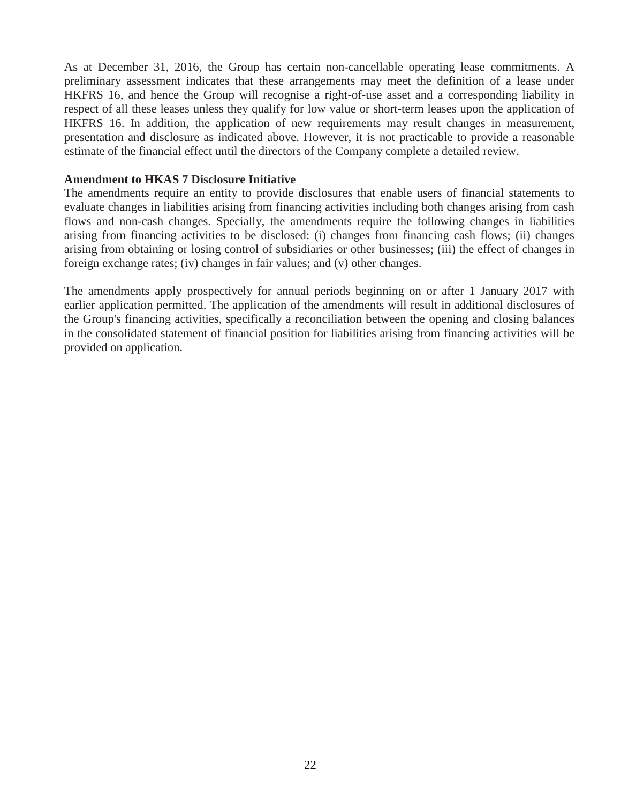As at December 31, 2016, the Group has certain non-cancellable operating lease commitments. A preliminary assessment indicates that these arrangements may meet the definition of a lease under HKFRS 16, and hence the Group will recognise a right-of-use asset and a corresponding liability in respect of all these leases unless they qualify for low value or short-term leases upon the application of HKFRS 16. In addition, the application of new requirements may result changes in measurement, presentation and disclosure as indicated above. However, it is not practicable to provide a reasonable estimate of the financial effect until the directors of the Company complete a detailed review.

#### **Amendment to HKAS 7 Disclosure Initiative**

The amendments require an entity to provide disclosures that enable users of financial statements to evaluate changes in liabilities arising from financing activities including both changes arising from cash flows and non-cash changes. Specially, the amendments require the following changes in liabilities arising from financing activities to be disclosed: (i) changes from financing cash flows; (ii) changes arising from obtaining or losing control of subsidiaries or other businesses; (iii) the effect of changes in foreign exchange rates; (iv) changes in fair values; and (v) other changes.

The amendments apply prospectively for annual periods beginning on or after 1 January 2017 with earlier application permitted. The application of the amendments will result in additional disclosures of the Group's financing activities, specifically a reconciliation between the opening and closing balances in the consolidated statement of financial position for liabilities arising from financing activities will be provided on application.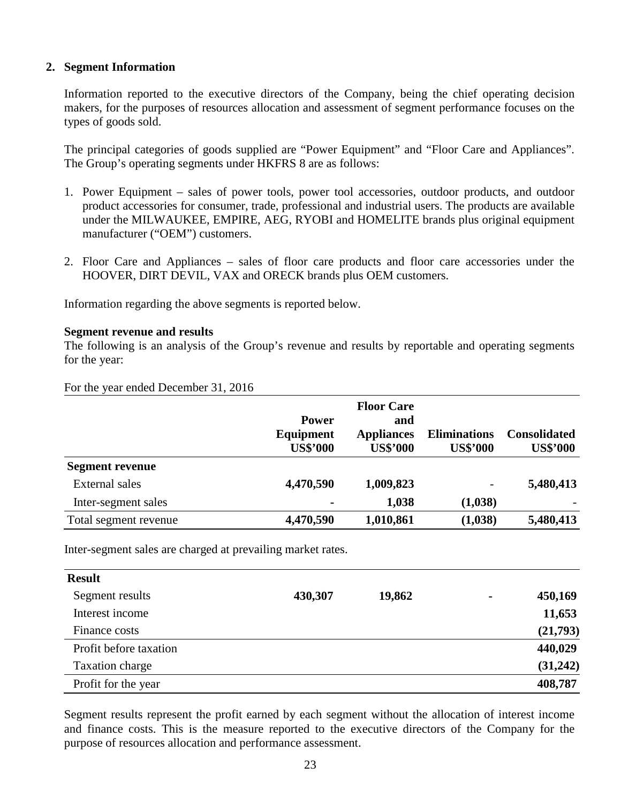### **2. Segment Information**

Information reported to the executive directors of the Company, being the chief operating decision makers, for the purposes of resources allocation and assessment of segment performance focuses on the types of goods sold.

The principal categories of goods supplied are "Power Equipment" and "Floor Care and Appliances". The Group's operating segments under HKFRS 8 are as follows:

- 1. Power Equipment sales of power tools, power tool accessories, outdoor products, and outdoor product accessories for consumer, trade, professional and industrial users. The products are available under the MILWAUKEE, EMPIRE, AEG, RYOBI and HOMELITE brands plus original equipment manufacturer ("OEM") customers.
- 2. Floor Care and Appliances sales of floor care products and floor care accessories under the HOOVER, DIRT DEVIL, VAX and ORECK brands plus OEM customers.

Information regarding the above segments is reported below.

### **Segment revenue and results**

The following is an analysis of the Group's revenue and results by reportable and operating segments for the year:

For the year ended December 31, 2016

|                        | <b>Power</b><br>Equipment<br><b>US\$'000</b> | <b>Floor Care</b><br>and<br><b>Appliances</b><br><b>US\$'000</b> | <b>Eliminations</b><br><b>US\$'000</b> | <b>Consolidated</b><br><b>US\$'000</b> |
|------------------------|----------------------------------------------|------------------------------------------------------------------|----------------------------------------|----------------------------------------|
| <b>Segment revenue</b> |                                              |                                                                  |                                        |                                        |
| <b>External sales</b>  | 4,470,590                                    | 1,009,823                                                        | -                                      | 5,480,413                              |
| Inter-segment sales    |                                              | 1,038                                                            | (1,038)                                |                                        |
| Total segment revenue  | 4,470,590                                    | 1,010,861                                                        | (1,038)                                | 5,480,413                              |

Inter-segment sales are charged at prevailing market rates.

| <b>Result</b>          |         |        |                |          |
|------------------------|---------|--------|----------------|----------|
| Segment results        | 430,307 | 19,862 | $\blacksquare$ | 450,169  |
| Interest income        |         |        |                | 11,653   |
| Finance costs          |         |        |                | (21,793) |
| Profit before taxation |         |        |                | 440,029  |
| Taxation charge        |         |        |                | (31,242) |
| Profit for the year    |         |        |                | 408,787  |

Segment results represent the profit earned by each segment without the allocation of interest income and finance costs. This is the measure reported to the executive directors of the Company for the purpose of resources allocation and performance assessment.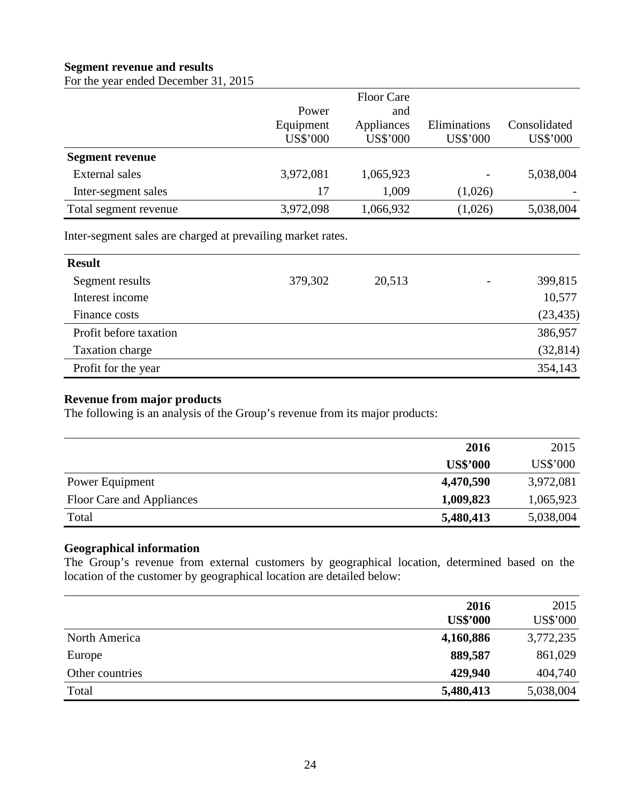### **Segment revenue and results**

For the year ended December 31, 2015

|                        |           | <b>Floor Care</b> |              |              |
|------------------------|-----------|-------------------|--------------|--------------|
|                        | Power     | and               |              |              |
|                        | Equipment | Appliances        | Eliminations | Consolidated |
|                        | US\$'000  | US\$'000          | US\$'000     | US\$'000     |
| <b>Segment revenue</b> |           |                   |              |              |
| External sales         | 3,972,081 | 1,065,923         |              | 5,038,004    |
| Inter-segment sales    | 17        | 1,009             | (1,026)      |              |
| Total segment revenue  | 3,972,098 | 1,066,932         | (1,026)      | 5,038,004    |

Inter-segment sales are charged at prevailing market rates.

| <b>Result</b>          |         |        |                          |           |
|------------------------|---------|--------|--------------------------|-----------|
| Segment results        | 379,302 | 20,513 | $\overline{\phantom{a}}$ | 399,815   |
| Interest income        |         |        |                          | 10,577    |
| Finance costs          |         |        |                          | (23, 435) |
| Profit before taxation |         |        |                          | 386,957   |
| Taxation charge        |         |        |                          | (32, 814) |
| Profit for the year    |         |        |                          | 354,143   |

### **Revenue from major products**

The following is an analysis of the Group's revenue from its major products:

|                           | 2016            | 2015      |
|---------------------------|-----------------|-----------|
|                           | <b>US\$'000</b> | US\$'000  |
| Power Equipment           | 4,470,590       | 3,972,081 |
| Floor Care and Appliances | 1,009,823       | 1,065,923 |
| Total                     | 5,480,413       | 5,038,004 |

#### **Geographical information**

The Group's revenue from external customers by geographical location, determined based on the location of the customer by geographical location are detailed below:

|                 | 2016<br><b>US\$'000</b> | 2015<br>US\$'000 |
|-----------------|-------------------------|------------------|
| North America   | 4,160,886               | 3,772,235        |
| Europe          | 889,587                 | 861,029          |
| Other countries | 429,940                 | 404,740          |
| Total           | 5,480,413               | 5,038,004        |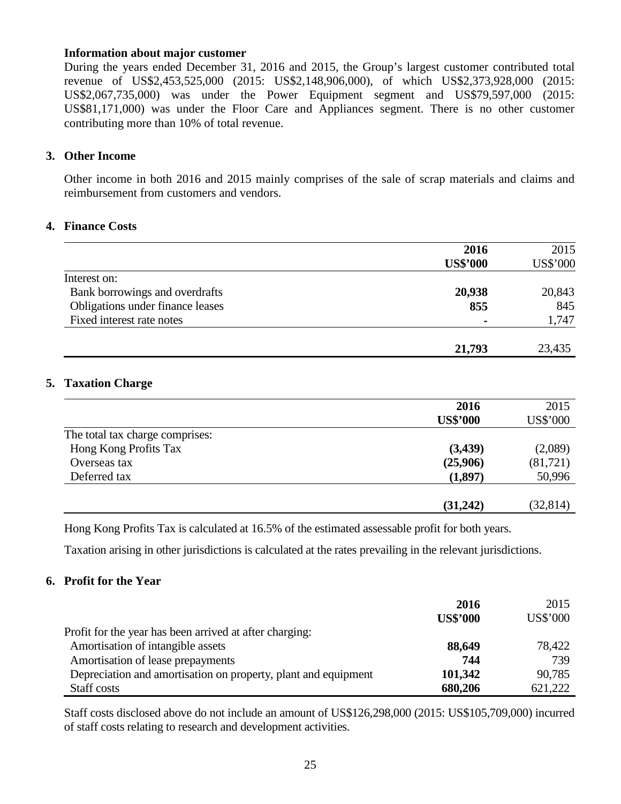#### **Information about major customer**

During the years ended December 31, 2016 and 2015, the Group's largest customer contributed total revenue of US\$2,453,525,000 (2015: US\$2,148,906,000), of which US\$2,373,928,000 (2015: US\$2,067,735,000) was under the Power Equipment segment and US\$79,597,000 (2015: US\$81,171,000) was under the Floor Care and Appliances segment. There is no other customer contributing more than 10% of total revenue.

#### **3. Other Income**

Other income in both 2016 and 2015 mainly comprises of the sale of scrap materials and claims and reimbursement from customers and vendors.

#### **4. Finance Costs**

|                                  | 2016            | 2015     |
|----------------------------------|-----------------|----------|
|                                  | <b>US\$'000</b> | US\$'000 |
| Interest on:                     |                 |          |
| Bank borrowings and overdrafts   | 20,938          | 20,843   |
| Obligations under finance leases | 855             | 845      |
| Fixed interest rate notes        |                 | 1,747    |
|                                  | 21,793          | 23,435   |

### **5. Taxation Charge**

|                                 | 2016            | 2015      |
|---------------------------------|-----------------|-----------|
|                                 | <b>US\$'000</b> | US\$'000  |
| The total tax charge comprises: |                 |           |
| Hong Kong Profits Tax           | (3,439)         | (2,089)   |
| Overseas tax                    | (25,906)        | (81,721)  |
| Deferred tax                    | (1,897)         | 50,996    |
|                                 |                 |           |
|                                 | (31,242)        | (32, 814) |

Hong Kong Profits Tax is calculated at 16.5% of the estimated assessable profit for both years.

Taxation arising in other jurisdictions is calculated at the rates prevailing in the relevant jurisdictions.

### **6. Profit for the Year**

|                                                                | 2016<br><b>US\$'000</b> | 2015<br><b>US\$'000</b> |
|----------------------------------------------------------------|-------------------------|-------------------------|
| Profit for the year has been arrived at after charging:        |                         |                         |
| Amortisation of intangible assets                              | 88,649                  | 78,422                  |
| Amortisation of lease prepayments                              | 744                     | 739                     |
| Depreciation and amortisation on property, plant and equipment | 101,342                 | 90,785                  |
| Staff costs                                                    | 680,206                 | 621,222                 |

Staff costs disclosed above do not include an amount of US\$126,298,000 (2015: US\$105,709,000) incurred of staff costs relating to research and development activities.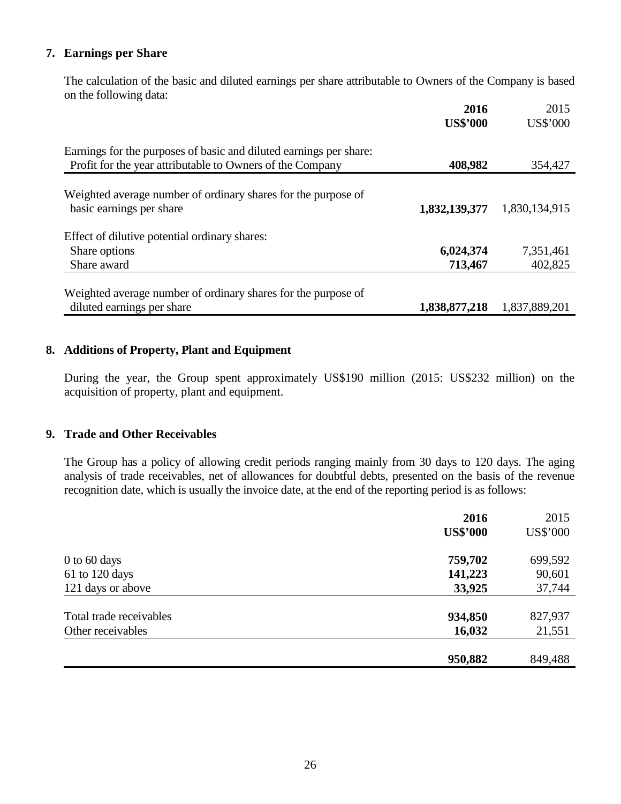### **7. Earnings per Share**

 The calculation of the basic and diluted earnings per share attributable to Owners of the Company is based on the following data:

|                                                                                             | 2016<br><b>US\$'000</b> | 2015<br>US\$'000 |
|---------------------------------------------------------------------------------------------|-------------------------|------------------|
| Earnings for the purposes of basic and diluted earnings per share:                          |                         |                  |
| Profit for the year attributable to Owners of the Company                                   | 408,982                 | 354,427          |
| Weighted average number of ordinary shares for the purpose of<br>basic earnings per share   | 1,832,139,377           | 1,830,134,915    |
| Effect of dilutive potential ordinary shares:                                               |                         |                  |
| Share options                                                                               | 6,024,374               | 7,351,461        |
| Share award                                                                                 | 713,467                 | 402,825          |
| Weighted average number of ordinary shares for the purpose of<br>diluted earnings per share |                         | 1,837,889,201    |
|                                                                                             | 1,838,877,218           |                  |

### **8. Additions of Property, Plant and Equipment**

 During the year, the Group spent approximately US\$190 million (2015: US\$232 million) on the acquisition of property, plant and equipment.

### **9. Trade and Other Receivables**

The Group has a policy of allowing credit periods ranging mainly from 30 days to 120 days. The aging analysis of trade receivables, net of allowances for doubtful debts, presented on the basis of the revenue recognition date, which is usually the invoice date, at the end of the reporting period is as follows:

|                         | 2016            | 2015            |
|-------------------------|-----------------|-----------------|
|                         | <b>US\$'000</b> | <b>US\$'000</b> |
| $0$ to 60 days          | 759,702         | 699,592         |
| 61 to 120 days          | 141,223         | 90,601          |
| 121 days or above       | 33,925          | 37,744          |
| Total trade receivables | 934,850         | 827,937         |
| Other receivables       | 16,032          | 21,551          |
|                         | 950,882         | 849,488         |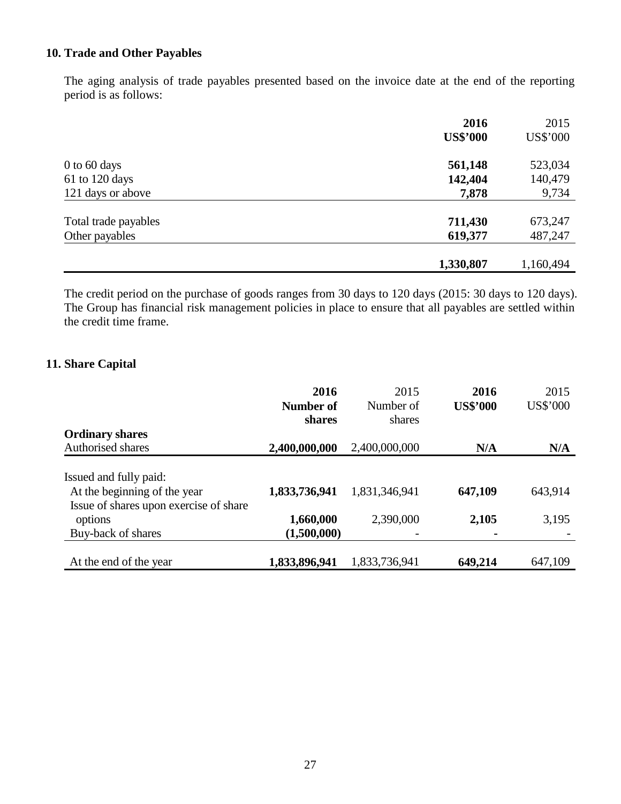## **10. Trade and Other Payables**

The aging analysis of trade payables presented based on the invoice date at the end of the reporting period is as follows:

|                      | 2016            | 2015      |
|----------------------|-----------------|-----------|
|                      | <b>US\$'000</b> | US\$'000  |
| $0$ to 60 days       | 561,148         | 523,034   |
| 61 to 120 days       | 142,404         | 140,479   |
| 121 days or above    | 7,878           | 9,734     |
| Total trade payables | 711,430         | 673,247   |
| Other payables       | 619,377         | 487,247   |
|                      |                 |           |
|                      | 1,330,807       | 1,160,494 |

The credit period on the purchase of goods ranges from 30 days to 120 days (2015: 30 days to 120 days). The Group has financial risk management policies in place to ensure that all payables are settled within the credit time frame.

### **11. Share Capital**

|                                        | 2016          | 2015          | 2016            | 2015     |
|----------------------------------------|---------------|---------------|-----------------|----------|
|                                        | Number of     | Number of     | <b>US\$'000</b> | US\$'000 |
|                                        | shares        | shares        |                 |          |
| <b>Ordinary shares</b>                 |               |               |                 |          |
| Authorised shares                      | 2,400,000,000 | 2,400,000,000 | N/A             | N/A      |
| Issued and fully paid:                 |               |               |                 |          |
| At the beginning of the year           | 1,833,736,941 | 1,831,346,941 | 647,109         | 643,914  |
| Issue of shares upon exercise of share |               |               |                 |          |
| options                                | 1,660,000     | 2,390,000     | 2,105           | 3,195    |
| Buy-back of shares                     | (1,500,000)   |               | $\blacksquare$  |          |
| At the end of the year                 | 1,833,896,941 | 1,833,736,941 | 649,214         | 647,109  |